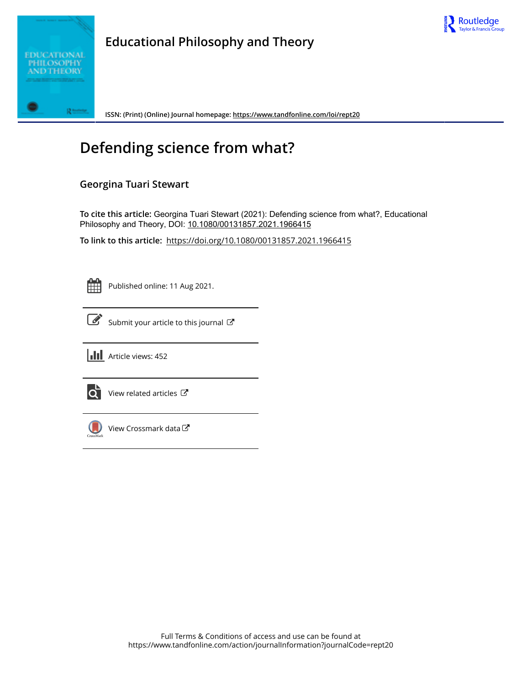



**Educational Philosophy and Theory**

**ISSN: (Print) (Online) Journal homepage:<https://www.tandfonline.com/loi/rept20>**

# **Defending science from what?**

# **Georgina Tuari Stewart**

**To cite this article:** Georgina Tuari Stewart (2021): Defending science from what?, Educational Philosophy and Theory, DOI: [10.1080/00131857.2021.1966415](https://www.tandfonline.com/action/showCitFormats?doi=10.1080/00131857.2021.1966415)

**To link to this article:** <https://doi.org/10.1080/00131857.2021.1966415>

Published online: 11 Aug 2021.



 $\overrightarrow{S}$  [Submit your article to this journal](https://www.tandfonline.com/action/authorSubmission?journalCode=rept20&show=instructions)  $\overrightarrow{S}$ 





 $\overrightarrow{Q}$  [View related articles](https://www.tandfonline.com/doi/mlt/10.1080/00131857.2021.1966415)  $\overrightarrow{C}$ 



[View Crossmark data](http://crossmark.crossref.org/dialog/?doi=10.1080/00131857.2021.1966415&domain=pdf&date_stamp=2021-08-11)  $\mathbb{Z}$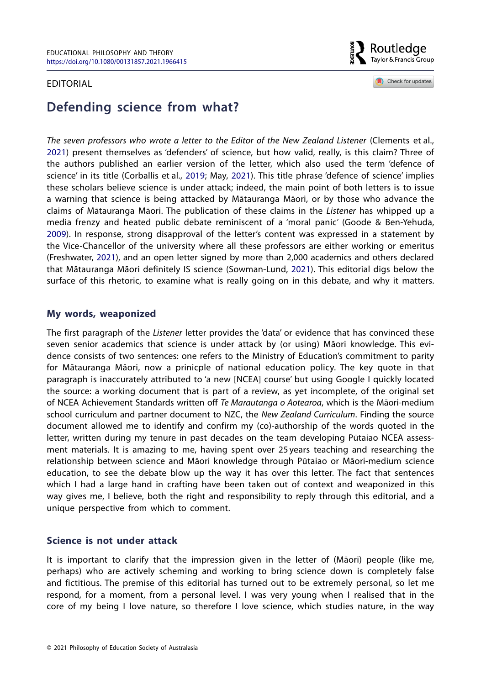## Editorial



<span id="page-1-4"></span>Check for updates

# **Defending science from what?**

<span id="page-1-1"></span><span id="page-1-0"></span>*The seven professors who wrote a letter to the Editor of the New Zealand Listener* (Clements et al., [2021\)](#page-3-0) present themselves as 'defenders' of science, but how valid, really, is this claim? Three of the authors published an earlier version of the letter, which also used the term 'defence of science' in its title (Corballis et al., [2019](#page-4-0); May, [2021](#page-4-1)). This title phrase 'defence of science' implies these scholars believe science is under attack; indeed, the main point of both letters is to issue a warning that science is being attacked by Mātauranga Māori, or by those who advance the claims of Mātauranga Māori. The publication of these claims in the *Listener* has whipped up a media frenzy and heated public debate reminiscent of a 'moral panic' (Goode & Ben-Yehuda, [2009\)](#page-4-2). In response, strong disapproval of the letter's content was expressed in a statement by the Vice-Chancellor of the university where all these professors are either working or emeritus (Freshwater, [2021\)](#page-4-3), and an open letter signed by more than 2,000 academics and others declared that Mātauranga Māori definitely IS science (Sowman-Lund, [2021\)](#page-4-4). This editorial digs below the surface of this rhetoric, to examine what is really going on in this debate, and why it matters.

### <span id="page-1-5"></span><span id="page-1-3"></span><span id="page-1-2"></span>**My words, weaponized**

The first paragraph of the *Listener* letter provides the 'data' or evidence that has convinced these seven senior academics that science is under attack by (or using) Māori knowledge. This evidence consists of two sentences: one refers to the Ministry of Education's commitment to parity for Mātauranga Māori, now a prinicple of national education policy. The key quote in that paragraph is inaccurately attributed to 'a new [NCEA] course' but using Google I quickly located the source: a working document that is part of a review, as yet incomplete, of the original set of NCEA Achievement Standards written off *Te Marautanga o Aotearoa*, which is the Māori-medium school curriculum and partner document to NZC, the *New Zealand Curriculum*. Finding the source document allowed me to identify and confirm my (co)-authorship of the words quoted in the letter, written during my tenure in past decades on the team developing Pūtaiao NCEA assessment materials. It is amazing to me, having spent over 25 years teaching and researching the relationship between science and Māori knowledge through Pūtaiao or Māori-medium science education, to see the debate blow up the way it has over this letter. The fact that sentences which I had a large hand in crafting have been taken out of context and weaponized in this way gives me, I believe, both the right and responsibility to reply through this editorial, and a unique perspective from which to comment.

# **Science is not under attack**

It is important to clarify that the impression given in the letter of (Māori) people (like me, perhaps) who are actively scheming and working to bring science down is completely false and fictitious. The premise of this editorial has turned out to be extremely personal, so let me respond, for a moment, from a personal level. I was very young when I realised that in the core of my being I love nature, so therefore I love science, which studies nature, in the way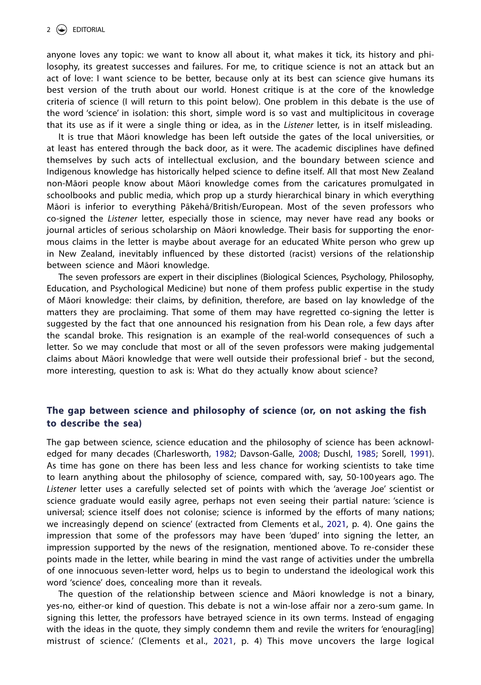anyone loves any topic: we want to know all about it, what makes it tick, its history and philosophy, its greatest successes and failures. For me, to critique science is not an attack but an act of love: I want science to be better, because only at its best can science give humans its best version of the truth about our world. Honest critique is at the core of the knowledge criteria of science (I will return to this point below). One problem in this debate is the use of the word 'science' in isolation: this short, simple word is so vast and multiplicitous in coverage that its use as if it were a single thing or idea, as in the *Listener* letter, is in itself misleading.

It is true that Māori knowledge has been left outside the gates of the local universities, or at least has entered through the back door, as it were. The academic disciplines have defined themselves by such acts of intellectual exclusion, and the boundary between science and Indigenous knowledge has historically helped science to define itself. All that most New Zealand non-Māori people know about Māori knowledge comes from the caricatures promulgated in schoolbooks and public media, which prop up a sturdy hierarchical binary in which everything Māori is inferior to everything Pākehā/British/European. Most of the seven professors who co-signed the *Listener* letter, especially those in science, may never have read any books or journal articles of serious scholarship on Māori knowledge. Their basis for supporting the enormous claims in the letter is maybe about average for an educated White person who grew up in New Zealand, inevitably influenced by these distorted (racist) versions of the relationship between science and Māori knowledge.

The seven professors are expert in their disciplines (Biological Sciences, Psychology, Philosophy, Education, and Psychological Medicine) but none of them profess public expertise in the study of Māori knowledge: their claims, by definition, therefore, are based on lay knowledge of the matters they are proclaiming. That some of them may have regretted co-signing the letter is suggested by the fact that one announced his resignation from his Dean role, a few days after the scandal broke. This resignation is an example of the real-world consequences of such a letter. So we may conclude that most or all of the seven professors were making judgemental claims about Māori knowledge that were well outside their professional brief - but the second, more interesting, question to ask is: What do they actually know about science?

# **The gap between science and philosophy of science (or, on not asking the fish to describe the sea)**

<span id="page-2-3"></span><span id="page-2-2"></span><span id="page-2-1"></span><span id="page-2-0"></span>The gap between science, science education and the philosophy of science has been acknowledged for many decades (Charlesworth, [1982](#page-3-1); Davson-Galle, [2008](#page-4-5); Duschl, [1985;](#page-4-6) Sorell, [1991](#page-4-7)). As time has gone on there has been less and less chance for working scientists to take time to learn anything about the philosophy of science, compared with, say, 50-100years ago. The *Listener* letter uses a carefully selected set of points with which the 'average Joe' scientist or science graduate would easily agree, perhaps not even seeing their partial nature: 'science is universal; science itself does not colonise; science is informed by the efforts of many nations; we increasingly depend on science' (extracted from Clements et al., [2021](#page-3-0), p. 4). One gains the impression that some of the professors may have been 'duped' into signing the letter, an impression supported by the news of the resignation, mentioned above. To re-consider these points made in the letter, while bearing in mind the vast range of activities under the umbrella of one innocuous seven-letter word, helps us to begin to understand the ideological work this word 'science' does, concealing more than it reveals.

The question of the relationship between science and Māori knowledge is not a binary, yes-no, either-or kind of question. This debate is not a win-lose affair nor a zero-sum game. In signing this letter, the professors have betrayed science in its own terms. Instead of engaging with the ideas in the quote, they simply condemn them and revile the writers for 'enourag[ing] mistrust of science.' (Clements et al., [2021,](#page-3-2) p. 4) This move uncovers the large logical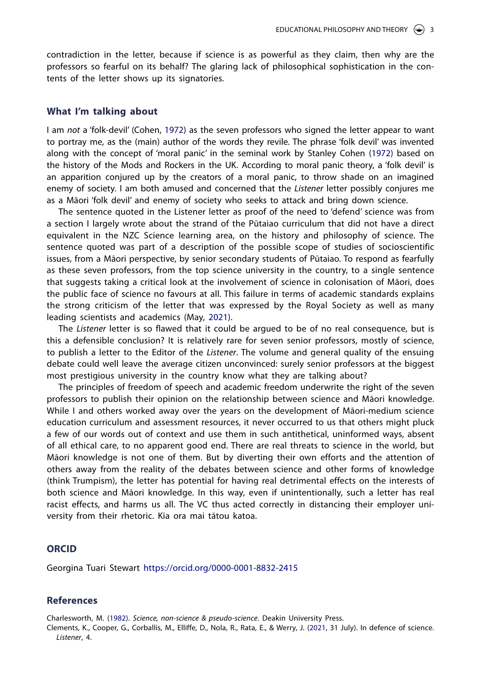contradiction in the letter, because if science is as powerful as they claim, then why are the professors so fearful on its behalf? The glaring lack of philosophical sophistication in the contents of the letter shows up its signatories.

#### **What I'm talking about**

<span id="page-3-3"></span>I am *not* a 'folk-devil' (Cohen, [1972](#page-4-8)) as the seven professors who signed the letter appear to want to portray me, as the (main) author of the words they revile. The phrase 'folk devil' was invented along with the concept of 'moral panic' in the seminal work by Stanley Cohen [\(1972\)](#page-4-9) based on the history of the Mods and Rockers in the UK. According to moral panic theory, a 'folk devil' is an apparition conjured up by the creators of a moral panic, to throw shade on an imagined enemy of society. I am both amused and concerned that the *Listener* letter possibly conjures me as a Māori 'folk devil' and enemy of society who seeks to attack and bring down science.

The sentence quoted in the Listener letter as proof of the need to 'defend' science was from a section I largely wrote about the strand of the Pūtaiao curriculum that did not have a direct equivalent in the NZC Science learning area, on the history and philosophy of science. The sentence quoted was part of a description of the possible scope of studies of socioscientific issues, from a Māori perspective, by senior secondary students of Pūtaiao. To respond as fearfully as these seven professors, from the top science university in the country, to a single sentence that suggests taking a critical look at the involvement of science in colonisation of Māori, does the public face of science no favours at all. This failure in terms of academic standards explains the strong criticism of the letter that was expressed by the Royal Society as well as many leading scientists and academics (May, [2021\)](#page-4-10).

The *Listener* letter is so flawed that it could be argued to be of no real consequence, but is this a defensible conclusion? It is relatively rare for seven senior professors, mostly of science, to publish a letter to the Editor of the *Listener*. The volume and general quality of the ensuing debate could well leave the average citizen unconvinced: surely senior professors at the biggest most prestigious university in the country know what they are talking about?

The principles of freedom of speech and academic freedom underwrite the right of the seven professors to publish their opinion on the relationship between science and Māori knowledge. While I and others worked away over the years on the development of Māori-medium science education curriculum and assessment resources, it never occurred to us that others might pluck a few of our words out of context and use them in such antithetical, uninformed ways, absent of all ethical care, to no apparent good end. There are real threats to science in the world, but Māori knowledge is not one of them. But by diverting their own efforts and the attention of others away from the reality of the debates between science and other forms of knowledge (think Trumpism), the letter has potential for having real detrimental effects on the interests of both science and Māori knowledge. In this way, even if unintentionally, such a letter has real racist effects, and harms us all. The VC thus acted correctly in distancing their employer university from their rhetoric. Kia ora mai tātou katoa.

#### **ORCID**

Georgina Tuari Stewart <https://orcid.org/0000-0001-8832-2415>

#### **References**

<span id="page-3-1"></span>Charlesworth, M. [\(1982](#page-2-0)). *Science, non-science & pseudo-science*. Deakin University Press.

<span id="page-3-2"></span><span id="page-3-0"></span>Clements, K., Cooper, G., Corballis, M., Elliffe, D., Nola, R., Rata, E., & Werry, J. ([2021](#page-1-0), 31 July). In defence of science. *Listener*, 4.